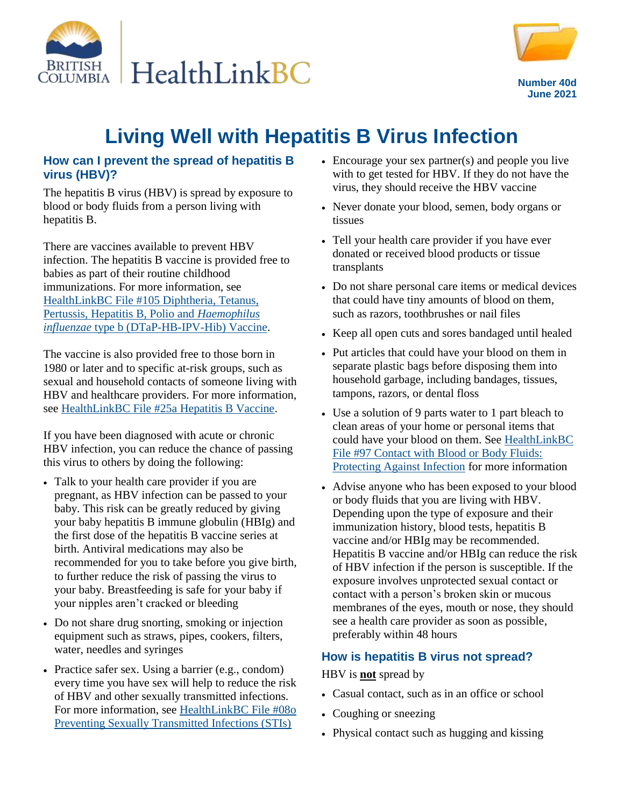



**Number 40d June 2021**

# **Living Well with Hepatitis B Virus Infection**

#### **How can I prevent the spread of hepatitis B virus (HBV)?**

The hepatitis B virus (HBV) is spread by exposure to blood or body fluids from a person living with hepatitis B.

There are vaccines available to prevent HBV infection. The hepatitis B vaccine is provided free to babies as part of their routine childhood immunizations. For more information, see [HealthLinkBC File #105 Diphtheria, Tetanus,](https://www.healthlinkbc.ca/healthlinkbc-files/dtap-hb-ipv-hib-vaccine)  [Pertussis, Hepatitis B, Polio and](https://www.healthlinkbc.ca/healthlinkbc-files/dtap-hb-ipv-hib-vaccine) *Haemophilus influenzae* [type b \(DTaP-HB-IPV-Hib\) Vaccine.](https://www.healthlinkbc.ca/healthlinkbc-files/dtap-hb-ipv-hib-vaccine)

The vaccine is also provided free to those born in 1980 or later and to specific at-risk groups, such as sexual and household contacts of someone living with HBV and healthcare providers. For more information, see [HealthLinkBC File #25a Hepatitis B Vaccine.](https://www.healthlinkbc.ca/healthlinkbc-files/hepatitis-b-vaccine)

If you have been diagnosed with acute or chronic HBV infection, you can reduce the chance of passing this virus to others by doing the following:

- Talk to your health care provider if you are pregnant, as HBV infection can be passed to your baby. This risk can be greatly reduced by giving your baby hepatitis B immune globulin (HBIg) and the first dose of the hepatitis B vaccine series at birth. Antiviral medications may also be recommended for you to take before you give birth, to further reduce the risk of passing the virus to your baby. Breastfeeding is safe for your baby if your nipples aren't cracked or bleeding
- Do not share drug snorting, smoking or injection equipment such as straws, pipes, cookers, filters, water, needles and syringes
- Practice safer sex. Using a barrier (e.g., condom) every time you have sex will help to reduce the risk of HBV and other sexually transmitted infections. For more information, see [HealthLinkBC File #08o](https://www.healthlinkbc.ca/healthlinkbc-files/preventing-sti)  [Preventing Sexually Transmitted Infections \(STIs\)](https://www.healthlinkbc.ca/healthlinkbc-files/preventing-sti)
- Encourage your sex partner(s) and people you live with to get tested for HBV. If they do not have the virus, they should receive the HBV vaccine
- Never donate your blood, semen, body organs or tissues
- Tell your health care provider if you have ever donated or received blood products or tissue transplants
- Do not share personal care items or medical devices that could have tiny amounts of blood on them, such as razors, toothbrushes or nail files
- Keep all open cuts and sores bandaged until healed
- Put articles that could have your blood on them in separate plastic bags before disposing them into household garbage, including bandages, tissues, tampons, razors, or dental floss
- Use a solution of 9 parts water to 1 part bleach to clean areas of your home or personal items that could have your blood on them. See [HealthLinkBC](https://www.healthlinkbc.ca/healthlinkbc-files/fluids-protecting-against-infection)  [File #97 Contact with Blood or Body Fluids:](https://www.healthlinkbc.ca/healthlinkbc-files/fluids-protecting-against-infection)  [Protecting Against Infection](https://www.healthlinkbc.ca/healthlinkbc-files/fluids-protecting-against-infection) for more information
- Advise anyone who has been exposed to your blood or body fluids that you are living with HBV. Depending upon the type of exposure and their immunization history, blood tests, hepatitis B vaccine and/or HBIg may be recommended. Hepatitis B vaccine and/or HBIg can reduce the risk of HBV infection if the person is susceptible. If the exposure involves unprotected sexual contact or contact with a person's broken skin or mucous membranes of the eyes, mouth or nose, they should see a health care provider as soon as possible, preferably within 48 hours

#### **How is hepatitis B virus not spread?**

HBV is **not** spread by

- Casual contact, such as in an office or school
- Coughing or sneezing
- Physical contact such as hugging and kissing